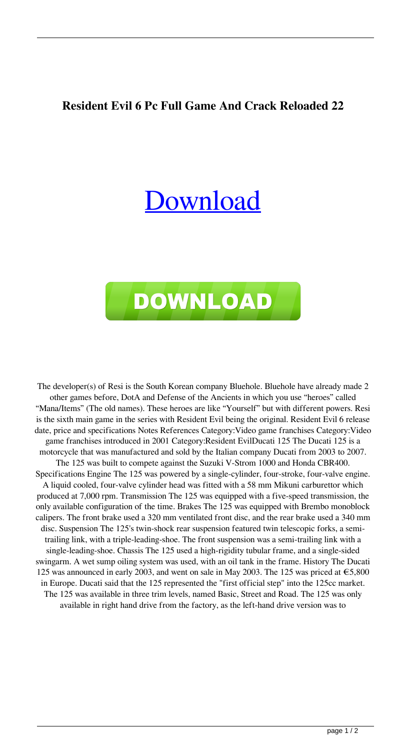## **Resident Evil 6 Pc Full Game And Crack Reloaded 22**

## [Download](http://evacdir.com/amni.UmVzaWRlbnQgZXZpbCA2IHBjIGZ1bGwgZ2FtZSBhbmQgY3JhY2sgcmVsb2FkZWQgMjIUmV/insouciance/ZG93bmxvYWR8VWg3Ym14MWZId3hOalV5TnpRd09EWTJmSHd5TlRjMGZId29UU2tnY21WaFpDMWliRzluSUZ0R1lYTjBJRWRGVGww.marmalade/knobby/newson/swihart/steamships)



The developer(s) of Resi is the South Korean company Bluehole. Bluehole have already made 2 other games before, DotA and Defense of the Ancients in which you use "heroes" called "Mana/Items" (The old names). These heroes are like "Yourself" but with different powers. Resi is the sixth main game in the series with Resident Evil being the original. Resident Evil 6 release date, price and specifications Notes References Category:Video game franchises Category:Video game franchises introduced in 2001 Category:Resident EvilDucati 125 The Ducati 125 is a motorcycle that was manufactured and sold by the Italian company Ducati from 2003 to 2007. The 125 was built to compete against the Suzuki V-Strom 1000 and Honda CBR400. Specifications Engine The 125 was powered by a single-cylinder, four-stroke, four-valve engine. A liquid cooled, four-valve cylinder head was fitted with a 58 mm Mikuni carburettor which produced at 7,000 rpm. Transmission The 125 was equipped with a five-speed transmission, the only available configuration of the time. Brakes The 125 was equipped with Brembo monoblock calipers. The front brake used a 320 mm ventilated front disc, and the rear brake used a 340 mm disc. Suspension The 125's twin-shock rear suspension featured twin telescopic forks, a semitrailing link, with a triple-leading-shoe. The front suspension was a semi-trailing link with a single-leading-shoe. Chassis The 125 used a high-rigidity tubular frame, and a single-sided swingarm. A wet sump oiling system was used, with an oil tank in the frame. History The Ducati 125 was announced in early 2003, and went on sale in May 2003. The 125 was priced at €5,800 in Europe. Ducati said that the 125 represented the "first official step" into the 125cc market. The 125 was available in three trim levels, named Basic, Street and Road. The 125 was only available in right hand drive from the factory, as the left-hand drive version was to